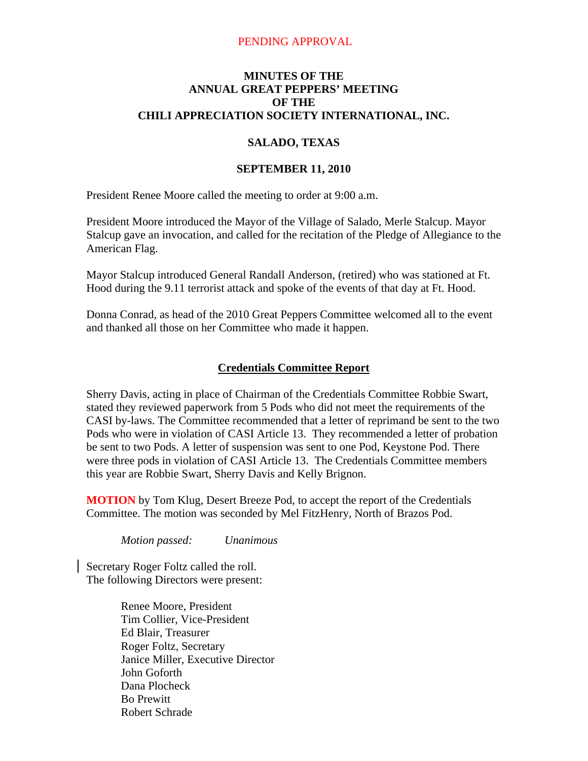#### PENDING APPROVAL

### **MINUTES OF THE ANNUAL GREAT PEPPERS' MEETING OF THE CHILI APPRECIATION SOCIETY INTERNATIONAL, INC.**

#### **SALADO, TEXAS**

#### **SEPTEMBER 11, 2010**

President Renee Moore called the meeting to order at 9:00 a.m.

President Moore introduced the Mayor of the Village of Salado, Merle Stalcup. Mayor Stalcup gave an invocation, and called for the recitation of the Pledge of Allegiance to the American Flag.

Mayor Stalcup introduced General Randall Anderson, (retired) who was stationed at Ft. Hood during the 9.11 terrorist attack and spoke of the events of that day at Ft. Hood.

Donna Conrad, as head of the 2010 Great Peppers Committee welcomed all to the event and thanked all those on her Committee who made it happen.

### **Credentials Committee Report**

Sherry Davis, acting in place of Chairman of the Credentials Committee Robbie Swart, stated they reviewed paperwork from 5 Pods who did not meet the requirements of the CASI by-laws. The Committee recommended that a letter of reprimand be sent to the two Pods who were in violation of CASI Article 13. They recommended a letter of probation be sent to two Pods. A letter of suspension was sent to one Pod, Keystone Pod. There were three pods in violation of CASI Article 13. The Credentials Committee members this year are Robbie Swart, Sherry Davis and Kelly Brignon.

**MOTION** by Tom Klug, Desert Breeze Pod, to accept the report of the Credentials Committee. The motion was seconded by Mel FitzHenry, North of Brazos Pod.

*Motion passed: Unanimous* 

Secretary Roger Foltz called the roll. The following Directors were present:

> Renee Moore, President Tim Collier, Vice-President Ed Blair, Treasurer Roger Foltz, Secretary Janice Miller, Executive Director John Goforth Dana Plocheck Bo Prewitt Robert Schrade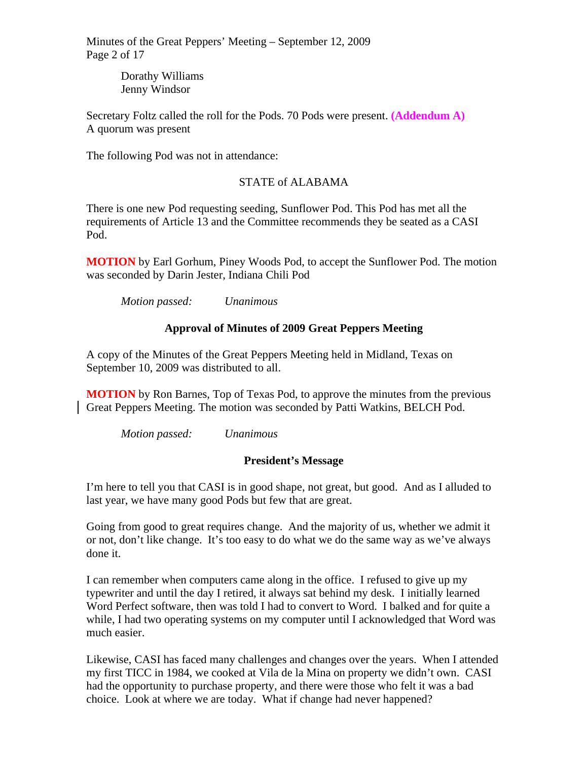Minutes of the Great Peppers' Meeting – September 12, 2009 Page 2 of 17

> Dorathy Williams Jenny Windsor

Secretary Foltz called the roll for the Pods. 70 Pods were present. **(Addendum A)**  A quorum was present

The following Pod was not in attendance:

# STATE of ALABAMA

There is one new Pod requesting seeding, Sunflower Pod. This Pod has met all the requirements of Article 13 and the Committee recommends they be seated as a CASI Pod.

**MOTION** by Earl Gorhum, Piney Woods Pod, to accept the Sunflower Pod. The motion was seconded by Darin Jester, Indiana Chili Pod

*Motion passed: Unanimous* 

# **Approval of Minutes of 2009 Great Peppers Meeting**

A copy of the Minutes of the Great Peppers Meeting held in Midland, Texas on September 10, 2009 was distributed to all.

**MOTION** by Ron Barnes, Top of Texas Pod, to approve the minutes from the previous Great Peppers Meeting. The motion was seconded by Patti Watkins, BELCH Pod.

*Motion passed: Unanimous* 

# **President's Message**

I'm here to tell you that CASI is in good shape, not great, but good. And as I alluded to last year, we have many good Pods but few that are great.

Going from good to great requires change. And the majority of us, whether we admit it or not, don't like change. It's too easy to do what we do the same way as we've always done it.

I can remember when computers came along in the office. I refused to give up my typewriter and until the day I retired, it always sat behind my desk. I initially learned Word Perfect software, then was told I had to convert to Word. I balked and for quite a while, I had two operating systems on my computer until I acknowledged that Word was much easier.

Likewise, CASI has faced many challenges and changes over the years. When I attended my first TICC in 1984, we cooked at Vila de la Mina on property we didn't own. CASI had the opportunity to purchase property, and there were those who felt it was a bad choice. Look at where we are today. What if change had never happened?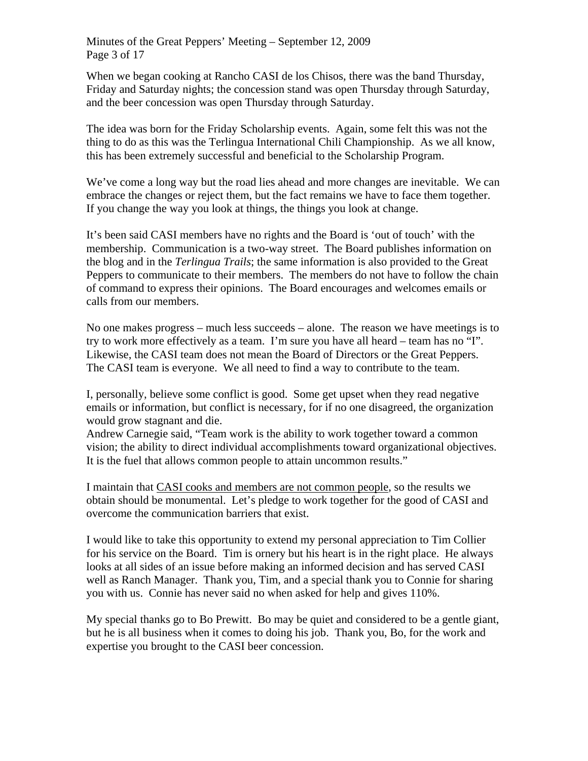When we began cooking at Rancho CASI de los Chisos, there was the band Thursday, Friday and Saturday nights; the concession stand was open Thursday through Saturday, and the beer concession was open Thursday through Saturday.

The idea was born for the Friday Scholarship events. Again, some felt this was not the thing to do as this was the Terlingua International Chili Championship. As we all know, this has been extremely successful and beneficial to the Scholarship Program.

We've come a long way but the road lies ahead and more changes are inevitable. We can embrace the changes or reject them, but the fact remains we have to face them together. If you change the way you look at things, the things you look at change.

It's been said CASI members have no rights and the Board is 'out of touch' with the membership. Communication is a two-way street. The Board publishes information on the blog and in the *Terlingua Trails*; the same information is also provided to the Great Peppers to communicate to their members. The members do not have to follow the chain of command to express their opinions. The Board encourages and welcomes emails or calls from our members.

No one makes progress – much less succeeds – alone. The reason we have meetings is to try to work more effectively as a team. I'm sure you have all heard – team has no "I". Likewise, the CASI team does not mean the Board of Directors or the Great Peppers. The CASI team is everyone. We all need to find a way to contribute to the team.

I, personally, believe some conflict is good. Some get upset when they read negative emails or information, but conflict is necessary, for if no one disagreed, the organization would grow stagnant and die.

Andrew Carnegie said, "Team work is the ability to work together toward a common vision; the ability to direct individual accomplishments toward organizational objectives. It is the fuel that allows common people to attain uncommon results."

I maintain that CASI cooks and members are not common people, so the results we obtain should be monumental. Let's pledge to work together for the good of CASI and overcome the communication barriers that exist.

I would like to take this opportunity to extend my personal appreciation to Tim Collier for his service on the Board. Tim is ornery but his heart is in the right place. He always looks at all sides of an issue before making an informed decision and has served CASI well as Ranch Manager. Thank you, Tim, and a special thank you to Connie for sharing you with us. Connie has never said no when asked for help and gives 110%.

My special thanks go to Bo Prewitt. Bo may be quiet and considered to be a gentle giant, but he is all business when it comes to doing his job. Thank you, Bo, for the work and expertise you brought to the CASI beer concession.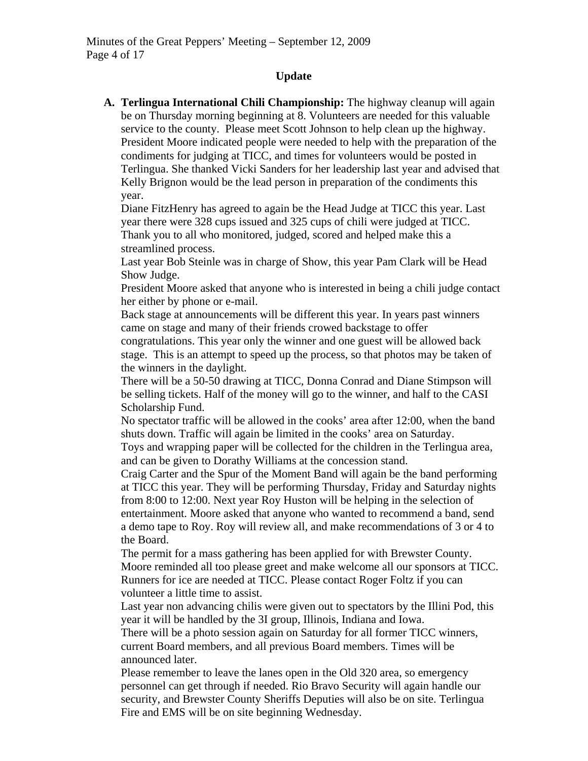### **Update**

**A. Terlingua International Chili Championship:** The highway cleanup will again be on Thursday morning beginning at 8. Volunteers are needed for this valuable service to the county. Please meet Scott Johnson to help clean up the highway. President Moore indicated people were needed to help with the preparation of the condiments for judging at TICC, and times for volunteers would be posted in Terlingua. She thanked Vicki Sanders for her leadership last year and advised that Kelly Brignon would be the lead person in preparation of the condiments this year.

Diane FitzHenry has agreed to again be the Head Judge at TICC this year. Last year there were 328 cups issued and 325 cups of chili were judged at TICC. Thank you to all who monitored, judged, scored and helped make this a streamlined process.

Last year Bob Steinle was in charge of Show, this year Pam Clark will be Head Show Judge.

President Moore asked that anyone who is interested in being a chili judge contact her either by phone or e-mail.

Back stage at announcements will be different this year. In years past winners came on stage and many of their friends crowed backstage to offer

congratulations. This year only the winner and one guest will be allowed back stage. This is an attempt to speed up the process, so that photos may be taken of the winners in the daylight.

There will be a 50-50 drawing at TICC, Donna Conrad and Diane Stimpson will be selling tickets. Half of the money will go to the winner, and half to the CASI Scholarship Fund.

No spectator traffic will be allowed in the cooks' area after 12:00, when the band shuts down. Traffic will again be limited in the cooks' area on Saturday.

Toys and wrapping paper will be collected for the children in the Terlingua area, and can be given to Dorathy Williams at the concession stand.

Craig Carter and the Spur of the Moment Band will again be the band performing at TICC this year. They will be performing Thursday, Friday and Saturday nights from 8:00 to 12:00. Next year Roy Huston will be helping in the selection of entertainment. Moore asked that anyone who wanted to recommend a band, send a demo tape to Roy. Roy will review all, and make recommendations of 3 or 4 to the Board.

The permit for a mass gathering has been applied for with Brewster County. Moore reminded all too please greet and make welcome all our sponsors at TICC. Runners for ice are needed at TICC. Please contact Roger Foltz if you can volunteer a little time to assist.

Last year non advancing chilis were given out to spectators by the Illini Pod, this year it will be handled by the 3I group, Illinois, Indiana and Iowa.

There will be a photo session again on Saturday for all former TICC winners, current Board members, and all previous Board members. Times will be announced later.

Please remember to leave the lanes open in the Old 320 area, so emergency personnel can get through if needed. Rio Bravo Security will again handle our security, and Brewster County Sheriffs Deputies will also be on site. Terlingua Fire and EMS will be on site beginning Wednesday.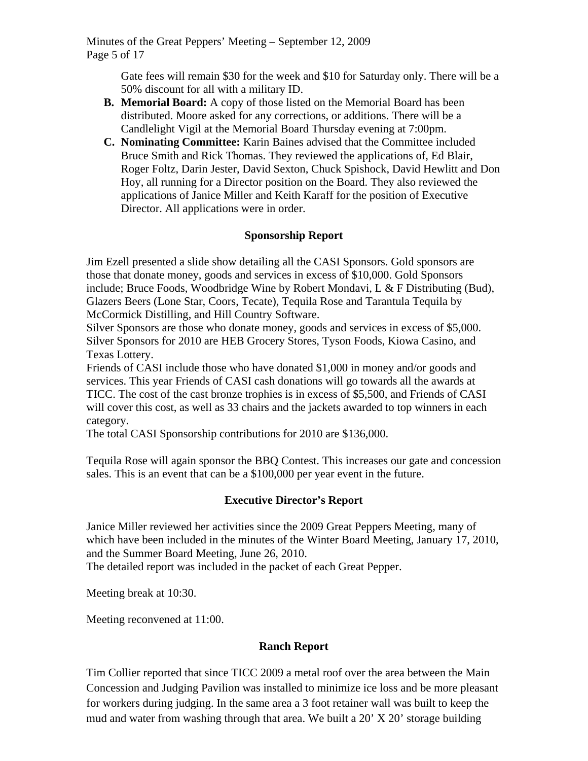Minutes of the Great Peppers' Meeting – September 12, 2009 Page 5 of 17

> Gate fees will remain \$30 for the week and \$10 for Saturday only. There will be a 50% discount for all with a military ID.

- **B. Memorial Board:** A copy of those listed on the Memorial Board has been distributed. Moore asked for any corrections, or additions. There will be a Candlelight Vigil at the Memorial Board Thursday evening at 7:00pm.
- **C. Nominating Committee:** Karin Baines advised that the Committee included Bruce Smith and Rick Thomas. They reviewed the applications of, Ed Blair, Roger Foltz, Darin Jester, David Sexton, Chuck Spishock, David Hewlitt and Don Hoy, all running for a Director position on the Board. They also reviewed the applications of Janice Miller and Keith Karaff for the position of Executive Director. All applications were in order.

# **Sponsorship Report**

Jim Ezell presented a slide show detailing all the CASI Sponsors. Gold sponsors are those that donate money, goods and services in excess of \$10,000. Gold Sponsors include; Bruce Foods, Woodbridge Wine by Robert Mondavi, L & F Distributing (Bud), Glazers Beers (Lone Star, Coors, Tecate), Tequila Rose and Tarantula Tequila by McCormick Distilling, and Hill Country Software.

Silver Sponsors are those who donate money, goods and services in excess of \$5,000. Silver Sponsors for 2010 are HEB Grocery Stores, Tyson Foods, Kiowa Casino, and Texas Lottery.

Friends of CASI include those who have donated \$1,000 in money and/or goods and services. This year Friends of CASI cash donations will go towards all the awards at TICC. The cost of the cast bronze trophies is in excess of \$5,500, and Friends of CASI will cover this cost, as well as 33 chairs and the jackets awarded to top winners in each category.

The total CASI Sponsorship contributions for 2010 are \$136,000.

Tequila Rose will again sponsor the BBQ Contest. This increases our gate and concession sales. This is an event that can be a \$100,000 per year event in the future.

# **Executive Director's Report**

Janice Miller reviewed her activities since the 2009 Great Peppers Meeting, many of which have been included in the minutes of the Winter Board Meeting, January 17, 2010, and the Summer Board Meeting, June 26, 2010.

The detailed report was included in the packet of each Great Pepper.

Meeting break at 10:30.

Meeting reconvened at 11:00.

# **Ranch Report**

Tim Collier reported that since TICC 2009 a metal roof over the area between the Main Concession and Judging Pavilion was installed to minimize ice loss and be more pleasant for workers during judging. In the same area a 3 foot retainer wall was built to keep the mud and water from washing through that area. We built a 20' X 20' storage building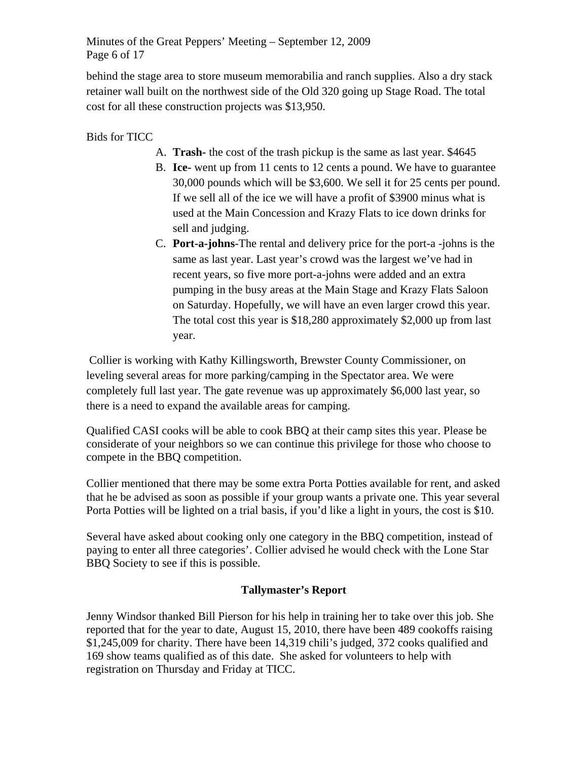Minutes of the Great Peppers' Meeting – September 12, 2009 Page 6 of 17

behind the stage area to store museum memorabilia and ranch supplies. Also a dry stack retainer wall built on the northwest side of the Old 320 going up Stage Road. The total cost for all these construction projects was \$13,950.

Bids for TICC

- A. **Trash-** the cost of the trash pickup is the same as last year. \$4645
- B. **Ice-** went up from 11 cents to 12 cents a pound. We have to guarantee 30,000 pounds which will be \$3,600. We sell it for 25 cents per pound. If we sell all of the ice we will have a profit of \$3900 minus what is used at the Main Concession and Krazy Flats to ice down drinks for sell and judging.
- C. **Port-a-johns**-The rental and delivery price for the port-a -johns is the same as last year. Last year's crowd was the largest we've had in recent years, so five more port-a-johns were added and an extra pumping in the busy areas at the Main Stage and Krazy Flats Saloon on Saturday. Hopefully, we will have an even larger crowd this year. The total cost this year is \$18,280 approximately \$2,000 up from last year.

 Collier is working with Kathy Killingsworth, Brewster County Commissioner, on leveling several areas for more parking/camping in the Spectator area. We were completely full last year. The gate revenue was up approximately \$6,000 last year, so there is a need to expand the available areas for camping.

Qualified CASI cooks will be able to cook BBQ at their camp sites this year. Please be considerate of your neighbors so we can continue this privilege for those who choose to compete in the BBQ competition.

Collier mentioned that there may be some extra Porta Potties available for rent, and asked that he be advised as soon as possible if your group wants a private one. This year several Porta Potties will be lighted on a trial basis, if you'd like a light in yours, the cost is \$10.

Several have asked about cooking only one category in the BBQ competition, instead of paying to enter all three categories'. Collier advised he would check with the Lone Star BBQ Society to see if this is possible.

# **Tallymaster's Report**

Jenny Windsor thanked Bill Pierson for his help in training her to take over this job. She reported that for the year to date, August 15, 2010, there have been 489 cookoffs raising \$1,245,009 for charity. There have been 14,319 chili's judged, 372 cooks qualified and 169 show teams qualified as of this date. She asked for volunteers to help with registration on Thursday and Friday at TICC.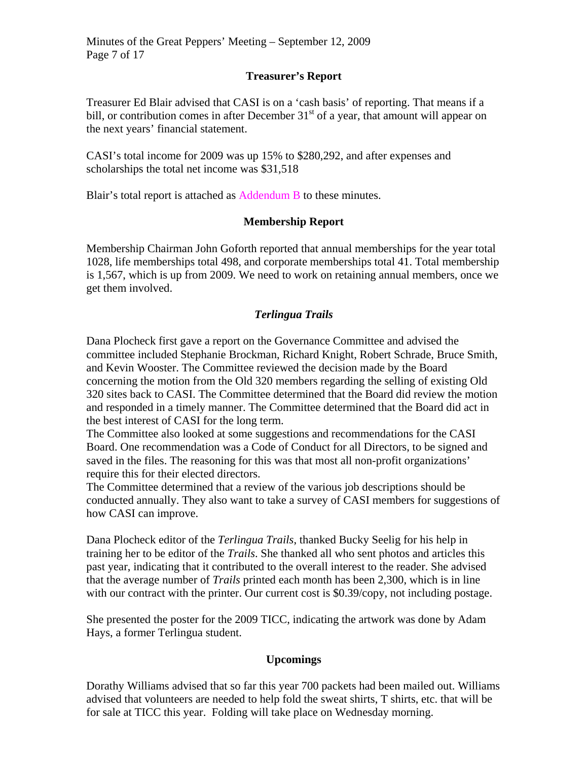### **Treasurer's Report**

Treasurer Ed Blair advised that CASI is on a 'cash basis' of reporting. That means if a bill, or contribution comes in after December  $31<sup>st</sup>$  of a year, that amount will appear on the next years' financial statement.

CASI's total income for 2009 was up 15% to \$280,292, and after expenses and scholarships the total net income was \$31,518

Blair's total report is attached as Addendum B to these minutes.

### **Membership Report**

Membership Chairman John Goforth reported that annual memberships for the year total 1028, life memberships total 498, and corporate memberships total 41. Total membership is 1,567, which is up from 2009. We need to work on retaining annual members, once we get them involved.

### *Terlingua Trails*

Dana Plocheck first gave a report on the Governance Committee and advised the committee included Stephanie Brockman, Richard Knight, Robert Schrade, Bruce Smith, and Kevin Wooster. The Committee reviewed the decision made by the Board concerning the motion from the Old 320 members regarding the selling of existing Old 320 sites back to CASI. The Committee determined that the Board did review the motion and responded in a timely manner. The Committee determined that the Board did act in the best interest of CASI for the long term.

The Committee also looked at some suggestions and recommendations for the CASI Board. One recommendation was a Code of Conduct for all Directors, to be signed and saved in the files. The reasoning for this was that most all non-profit organizations' require this for their elected directors.

The Committee determined that a review of the various job descriptions should be conducted annually. They also want to take a survey of CASI members for suggestions of how CASI can improve.

Dana Plocheck editor of the *Terlingua Trails*, thanked Bucky Seelig for his help in training her to be editor of the *Trails*. She thanked all who sent photos and articles this past year, indicating that it contributed to the overall interest to the reader. She advised that the average number of *Trails* printed each month has been 2,300, which is in line with our contract with the printer. Our current cost is \$0.39/copy, not including postage.

She presented the poster for the 2009 TICC, indicating the artwork was done by Adam Hays, a former Terlingua student.

### **Upcomings**

Dorathy Williams advised that so far this year 700 packets had been mailed out. Williams advised that volunteers are needed to help fold the sweat shirts, T shirts, etc. that will be for sale at TICC this year. Folding will take place on Wednesday morning.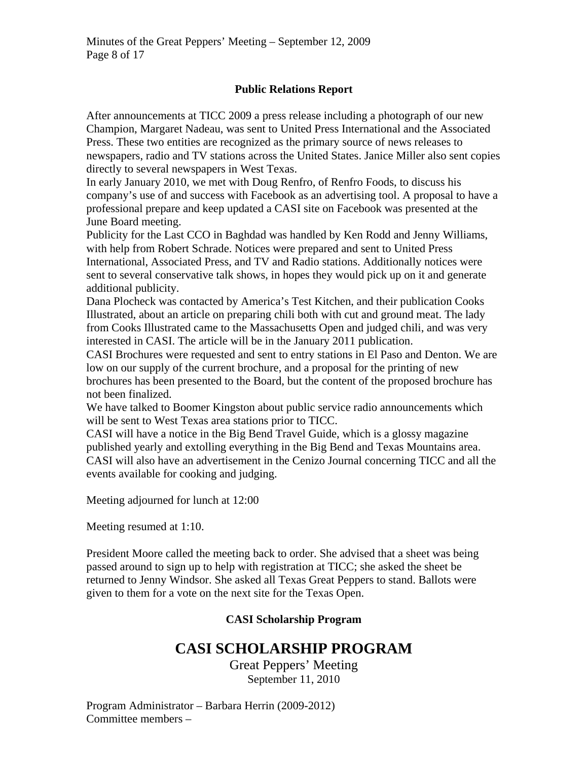### **Public Relations Report**

After announcements at TICC 2009 a press release including a photograph of our new Champion, Margaret Nadeau, was sent to United Press International and the Associated Press. These two entities are recognized as the primary source of news releases to newspapers, radio and TV stations across the United States. Janice Miller also sent copies directly to several newspapers in West Texas.

In early January 2010, we met with Doug Renfro, of Renfro Foods, to discuss his company's use of and success with Facebook as an advertising tool. A proposal to have a professional prepare and keep updated a CASI site on Facebook was presented at the June Board meeting.

Publicity for the Last CCO in Baghdad was handled by Ken Rodd and Jenny Williams, with help from Robert Schrade. Notices were prepared and sent to United Press International, Associated Press, and TV and Radio stations. Additionally notices were sent to several conservative talk shows, in hopes they would pick up on it and generate additional publicity.

Dana Plocheck was contacted by America's Test Kitchen, and their publication Cooks Illustrated, about an article on preparing chili both with cut and ground meat. The lady from Cooks Illustrated came to the Massachusetts Open and judged chili, and was very interested in CASI. The article will be in the January 2011 publication.

CASI Brochures were requested and sent to entry stations in El Paso and Denton. We are low on our supply of the current brochure, and a proposal for the printing of new brochures has been presented to the Board, but the content of the proposed brochure has not been finalized.

We have talked to Boomer Kingston about public service radio announcements which will be sent to West Texas area stations prior to TICC.

CASI will have a notice in the Big Bend Travel Guide, which is a glossy magazine published yearly and extolling everything in the Big Bend and Texas Mountains area. CASI will also have an advertisement in the Cenizo Journal concerning TICC and all the events available for cooking and judging.

Meeting adjourned for lunch at 12:00

Meeting resumed at 1:10.

President Moore called the meeting back to order. She advised that a sheet was being passed around to sign up to help with registration at TICC; she asked the sheet be returned to Jenny Windsor. She asked all Texas Great Peppers to stand. Ballots were given to them for a vote on the next site for the Texas Open.

### **CASI Scholarship Program**

# **CASI SCHOLARSHIP PROGRAM**

Great Peppers' Meeting September 11, 2010

Program Administrator – Barbara Herrin (2009-2012) Committee members –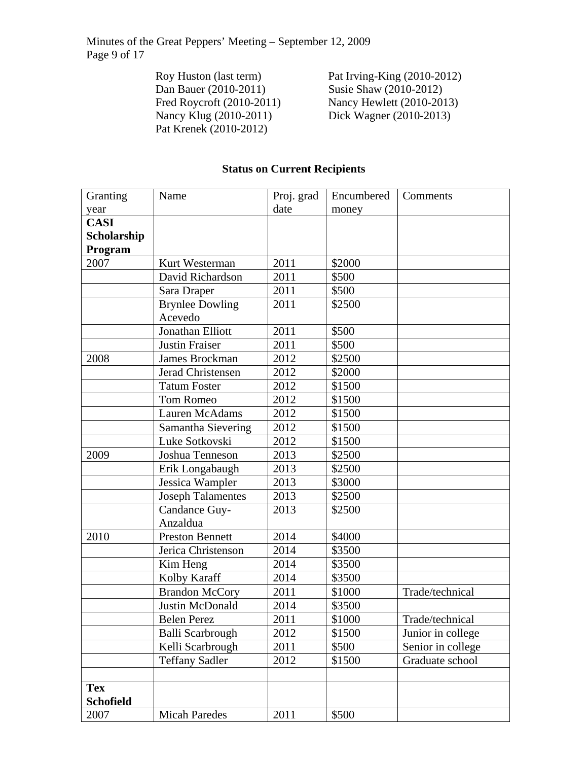Minutes of the Great Peppers' Meeting – September 12, 2009 Page 9 of 17

> Dan Bauer (2010-2011) Susie Shaw (2010-2012)<br>Fred Roycroft (2010-2011) Nancy Hewlett (2010-201 Pat Krenek (2010-2012)

Roy Huston (last term)<br>
Dan Bauer (2010-2011)<br>
Susie Shaw (2010-2012) Fred Roycroft (2010-2011) Nancy Hewlett (2010-2013)<br>Nancy Klug (2010-2011) Dick Wagner (2010-2013) Dick Wagner (2010-2013)

# **Status on Current Recipients**

| Granting         | Name                     | Proj. grad | Encumbered | Comments          |
|------------------|--------------------------|------------|------------|-------------------|
| year             |                          | date       | money      |                   |
| <b>CASI</b>      |                          |            |            |                   |
| Scholarship      |                          |            |            |                   |
| Program          |                          |            |            |                   |
| 2007             | Kurt Westerman           | 2011       | \$2000     |                   |
|                  | David Richardson         | 2011       | \$500      |                   |
|                  | Sara Draper              | 2011       | \$500      |                   |
|                  | <b>Brynlee Dowling</b>   | 2011       | \$2500     |                   |
|                  | Acevedo                  |            |            |                   |
|                  | Jonathan Elliott         | 2011       | \$500      |                   |
|                  | <b>Justin Fraiser</b>    | 2011       | \$500      |                   |
| 2008             | James Brockman           | 2012       | \$2500     |                   |
|                  | Jerad Christensen        | 2012       | \$2000     |                   |
|                  | <b>Tatum Foster</b>      | 2012       | \$1500     |                   |
|                  | <b>Tom Romeo</b>         | 2012       | \$1500     |                   |
|                  | Lauren McAdams           | 2012       | \$1500     |                   |
|                  | Samantha Sievering       | 2012       | \$1500     |                   |
|                  | Luke Sotkovski           | 2012       | \$1500     |                   |
| 2009             | Joshua Tenneson          | 2013       | \$2500     |                   |
|                  | Erik Longabaugh          | 2013       | \$2500     |                   |
|                  | Jessica Wampler          | 2013       | \$3000     |                   |
|                  | <b>Joseph Talamentes</b> | 2013       | \$2500     |                   |
|                  | Candance Guy-            | 2013       | \$2500     |                   |
|                  | Anzaldua                 |            |            |                   |
| 2010             | <b>Preston Bennett</b>   | 2014       | \$4000     |                   |
|                  | Jerica Christenson       | 2014       | \$3500     |                   |
|                  | Kim Heng                 | 2014       | \$3500     |                   |
|                  | Kolby Karaff             | 2014       | \$3500     |                   |
|                  | <b>Brandon McCory</b>    | 2011       | \$1000     | Trade/technical   |
|                  | Justin McDonald          | 2014       | \$3500     |                   |
|                  | <b>Belen Perez</b>       | 2011       | \$1000     | Trade/technical   |
|                  | Balli Scarbrough         | 2012       | \$1500     | Junior in college |
|                  | Kelli Scarbrough         | 2011       | \$500      | Senior in college |
|                  | <b>Teffany Sadler</b>    | 2012       | \$1500     | Graduate school   |
|                  |                          |            |            |                   |
| <b>Tex</b>       |                          |            |            |                   |
| <b>Schofield</b> |                          |            |            |                   |
| 2007             | <b>Micah Paredes</b>     | 2011       | \$500      |                   |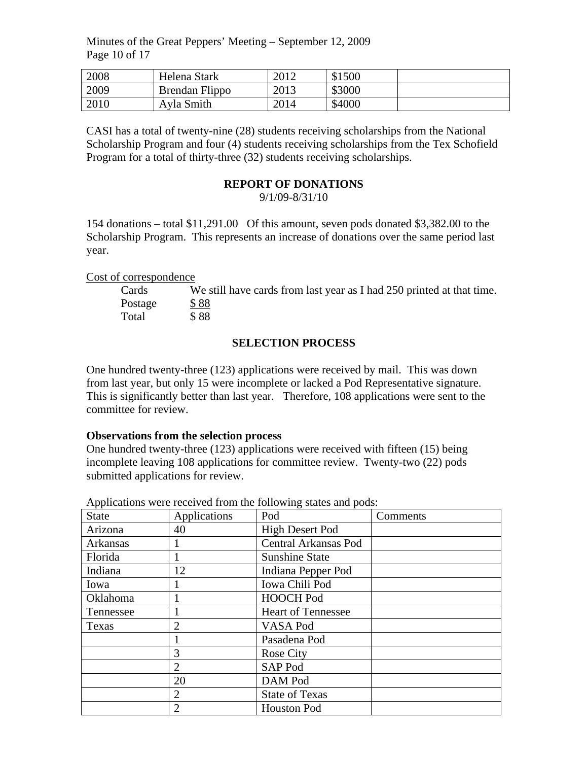Minutes of the Great Peppers' Meeting – September 12, 2009 Page 10 of 17

| 2008 | Helena Stark   | 2012 | \$1500 |  |
|------|----------------|------|--------|--|
| 2009 | Brendan Flippo | 2013 | \$3000 |  |
| 2010 | Ayla Smith     | 2014 | \$4000 |  |

CASI has a total of twenty-nine (28) students receiving scholarships from the National Scholarship Program and four (4) students receiving scholarships from the Tex Schofield Program for a total of thirty-three (32) students receiving scholarships.

#### **REPORT OF DONATIONS**

9/1/09-8/31/10

154 donations – total \$11,291.00 Of this amount, seven pods donated \$3,382.00 to the Scholarship Program. This represents an increase of donations over the same period last year.

Cost of correspondence

| Cards   | We still have cards from last year as I had 250 printed at that time. |
|---------|-----------------------------------------------------------------------|
| Postage | \$88                                                                  |
| Total   | \$88                                                                  |

#### **SELECTION PROCESS**

One hundred twenty-three (123) applications were received by mail. This was down from last year, but only 15 were incomplete or lacked a Pod Representative signature. This is significantly better than last year. Therefore, 108 applications were sent to the committee for review.

#### **Observations from the selection process**

One hundred twenty-three (123) applications were received with fifteen (15) being incomplete leaving 108 applications for committee review. Twenty-two (22) pods submitted applications for review.

| <b>State</b> | Applications   | Pod                       | Comments |
|--------------|----------------|---------------------------|----------|
| Arizona      | 40             | <b>High Desert Pod</b>    |          |
| Arkansas     |                | Central Arkansas Pod      |          |
| Florida      |                | <b>Sunshine State</b>     |          |
| Indiana      | 12             | Indiana Pepper Pod        |          |
| Iowa         |                | Iowa Chili Pod            |          |
| Oklahoma     |                | <b>HOOCH Pod</b>          |          |
| Tennessee    |                | <b>Heart of Tennessee</b> |          |
| Texas        | $\overline{2}$ | VASA Pod                  |          |
|              |                | Pasadena Pod              |          |
|              | 3              | <b>Rose City</b>          |          |
|              | 2              | SAP Pod                   |          |
|              | 20             | DAM Pod                   |          |
|              | $\overline{2}$ | <b>State of Texas</b>     |          |
|              | $\overline{2}$ | <b>Houston Pod</b>        |          |

Applications were received from the following states and pods: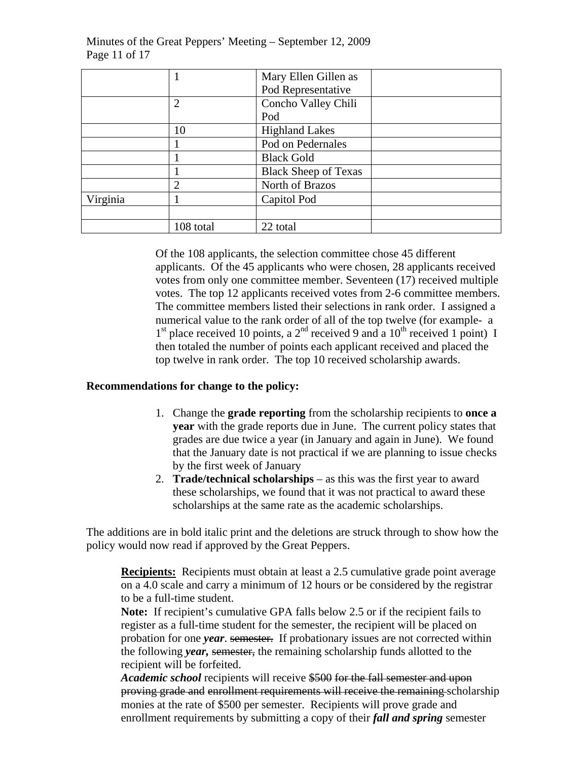|          |                | Mary Ellen Gillen as        |
|----------|----------------|-----------------------------|
|          |                | Pod Representative          |
|          | $\overline{2}$ | Concho Valley Chili         |
|          |                | Pod                         |
|          | 10             | <b>Highland Lakes</b>       |
|          |                | Pod on Pedernales           |
|          |                | <b>Black Gold</b>           |
|          |                | <b>Black Sheep of Texas</b> |
|          | $\overline{2}$ | North of Brazos             |
| Virginia |                | Capitol Pod                 |
|          |                |                             |
|          | 108 total      | 22 total                    |

Minutes of the Great Peppers' Meeting – September 12, 2009 Page 11 of 17

> Of the 108 applicants, the selection committee chose 45 different applicants. Of the 45 applicants who were chosen, 28 applicants received votes from only one committee member. Seventeen (17) received multiple votes. The top 12 applicants received votes from 2-6 committee members. The committee members listed their selections in rank order. I assigned a numerical value to the rank order of all of the top twelve (for example- a  $1<sup>st</sup>$  place received 10 points, a  $2<sup>nd</sup>$  received 9 and a  $10<sup>th</sup>$  received 1 point) I then totaled the number of points each applicant received and placed the top twelve in rank order. The top 10 received scholarship awards.

#### **Recommendations for change to the policy:**

- 1. Change the **grade reporting** from the scholarship recipients to **once a year** with the grade reports due in June. The current policy states that grades are due twice a year (in January and again in June). We found that the January date is not practical if we are planning to issue checks by the first week of January
- 2. **Trade/technical scholarships** as this was the first year to award these scholarships, we found that it was not practical to award these scholarships at the same rate as the academic scholarships.

The additions are in bold italic print and the deletions are struck through to show how the policy would now read if approved by the Great Peppers.

**Recipients:** Recipients must obtain at least a 2.5 cumulative grade point average on a 4.0 scale and carry a minimum of 12 hours or be considered by the registrar to be a full-time student.

**Note:** If recipient's cumulative GPA falls below 2.5 or if the recipient fails to register as a full-time student for the semester, the recipient will be placed on probation for one *year*. semester. If probationary issues are not corrected within the following *year,* semester, the remaining scholarship funds allotted to the recipient will be forfeited.

*Academic school* recipients will receive \$500 for the fall semester and upon proving grade and enrollment requirements will receive the remaining scholarship monies at the rate of \$500 per semester. Recipients will prove grade and enrollment requirements by submitting a copy of their *fall and spring* semester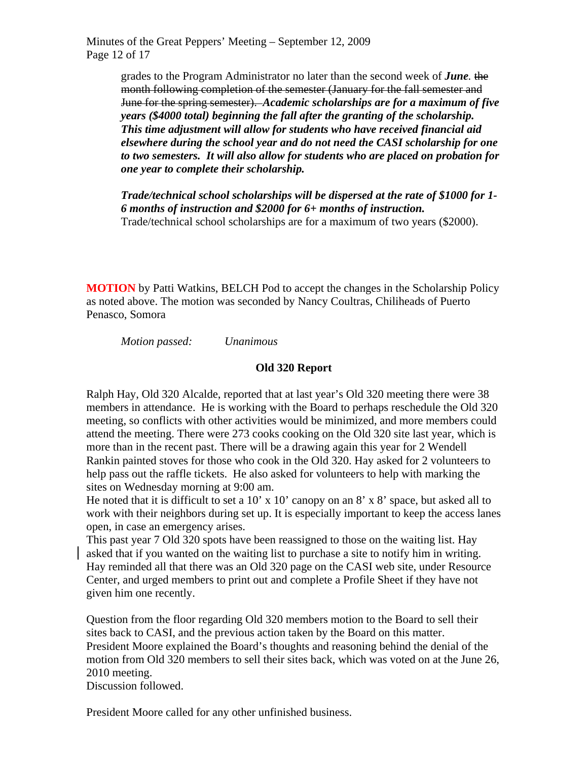Minutes of the Great Peppers' Meeting – September 12, 2009 Page 12 of 17

> grades to the Program Administrator no later than the second week of *June.* the month following completion of the semester (January for the fall semester and June for the spring semester). *Academic scholarships are for a maximum of five years (\$4000 total) beginning the fall after the granting of the scholarship. This time adjustment will allow for students who have received financial aid elsewhere during the school year and do not need the CASI scholarship for one to two semesters. It will also allow for students who are placed on probation for one year to complete their scholarship.*

> *Trade/technical school scholarships will be dispersed at the rate of \$1000 for 1- 6 months of instruction and \$2000 for 6+ months of instruction.*  Trade/technical school scholarships are for a maximum of two years (\$2000).

**MOTION** by Patti Watkins, BELCH Pod to accept the changes in the Scholarship Policy as noted above. The motion was seconded by Nancy Coultras, Chiliheads of Puerto Penasco, Somora

*Motion passed: Unanimous* 

### **Old 320 Report**

Ralph Hay, Old 320 Alcalde, reported that at last year's Old 320 meeting there were 38 members in attendance. He is working with the Board to perhaps reschedule the Old 320 meeting, so conflicts with other activities would be minimized, and more members could attend the meeting. There were 273 cooks cooking on the Old 320 site last year, which is more than in the recent past. There will be a drawing again this year for 2 Wendell Rankin painted stoves for those who cook in the Old 320. Hay asked for 2 volunteers to help pass out the raffle tickets. He also asked for volunteers to help with marking the sites on Wednesday morning at 9:00 am.

He noted that it is difficult to set a 10' x 10' canopy on an 8' x 8' space, but asked all to work with their neighbors during set up. It is especially important to keep the access lanes open, in case an emergency arises.

This past year 7 Old 320 spots have been reassigned to those on the waiting list. Hay asked that if you wanted on the waiting list to purchase a site to notify him in writing. Hay reminded all that there was an Old 320 page on the CASI web site, under Resource Center, and urged members to print out and complete a Profile Sheet if they have not given him one recently.

Question from the floor regarding Old 320 members motion to the Board to sell their sites back to CASI, and the previous action taken by the Board on this matter. President Moore explained the Board's thoughts and reasoning behind the denial of the motion from Old 320 members to sell their sites back, which was voted on at the June 26, 2010 meeting.

Discussion followed.

President Moore called for any other unfinished business.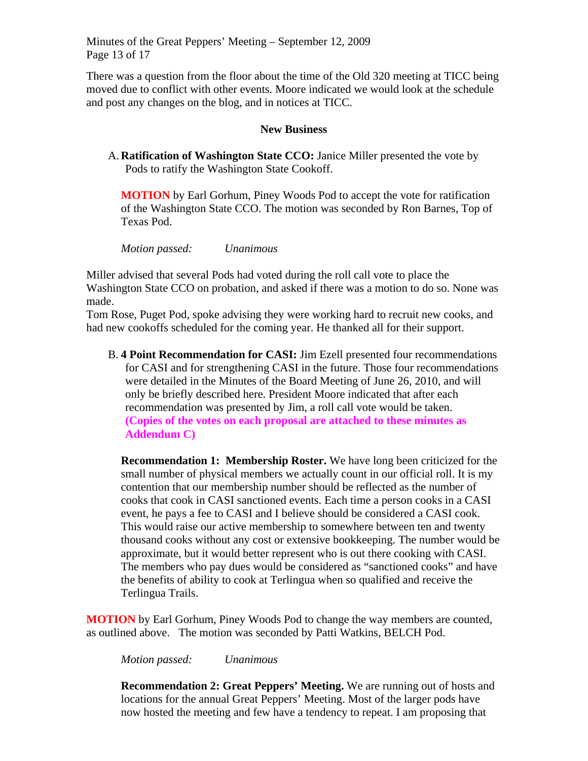Minutes of the Great Peppers' Meeting – September 12, 2009 Page 13 of 17

There was a question from the floor about the time of the Old 320 meeting at TICC being moved due to conflict with other events. Moore indicated we would look at the schedule and post any changes on the blog, and in notices at TICC.

#### **New Business**

A. **Ratification of Washington State CCO:** Janice Miller presented the vote by Pods to ratify the Washington State Cookoff.

**MOTION** by Earl Gorhum, Piney Woods Pod to accept the vote for ratification of the Washington State CCO. The motion was seconded by Ron Barnes, Top of Texas Pod.

*Motion passed: Unanimous* 

Miller advised that several Pods had voted during the roll call vote to place the Washington State CCO on probation, and asked if there was a motion to do so. None was made.

Tom Rose, Puget Pod, spoke advising they were working hard to recruit new cooks, and had new cookoffs scheduled for the coming year. He thanked all for their support.

B. **4 Point Recommendation for CASI:** Jim Ezell presented four recommendations for CASI and for strengthening CASI in the future. Those four recommendations were detailed in the Minutes of the Board Meeting of June 26, 2010, and will only be briefly described here. President Moore indicated that after each recommendation was presented by Jim, a roll call vote would be taken. **(Copies of the votes on each proposal are attached to these minutes as Addendum C)**

**Recommendation 1: Membership Roster.** We have long been criticized for the small number of physical members we actually count in our official roll. It is my contention that our membership number should be reflected as the number of cooks that cook in CASI sanctioned events. Each time a person cooks in a CASI event, he pays a fee to CASI and I believe should be considered a CASI cook. This would raise our active membership to somewhere between ten and twenty thousand cooks without any cost or extensive bookkeeping. The number would be approximate, but it would better represent who is out there cooking with CASI. The members who pay dues would be considered as "sanctioned cooks" and have the benefits of ability to cook at Terlingua when so qualified and receive the Terlingua Trails.

**MOTION** by Earl Gorhum, Piney Woods Pod to change the way members are counted, as outlined above. The motion was seconded by Patti Watkins, BELCH Pod.

*Motion passed: Unanimous* 

**Recommendation 2: Great Peppers' Meeting.** We are running out of hosts and locations for the annual Great Peppers' Meeting. Most of the larger pods have now hosted the meeting and few have a tendency to repeat. I am proposing that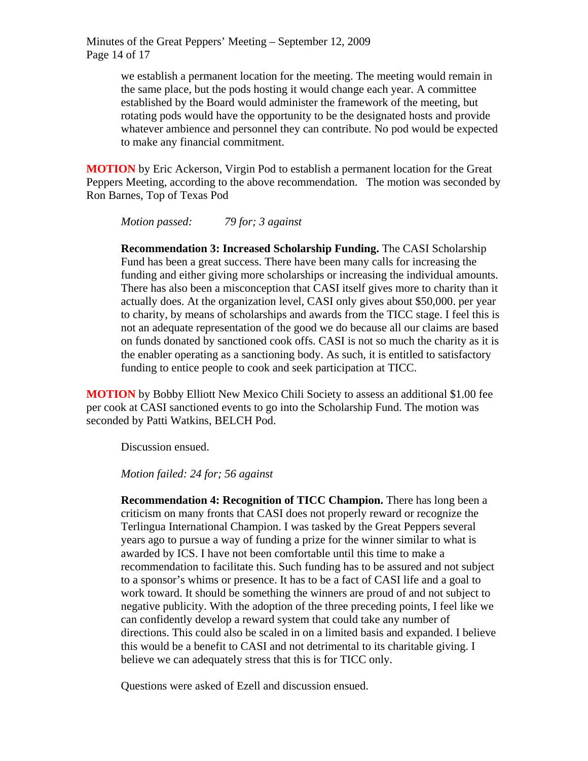Minutes of the Great Peppers' Meeting – September 12, 2009 Page 14 of 17

> we establish a permanent location for the meeting. The meeting would remain in the same place, but the pods hosting it would change each year. A committee established by the Board would administer the framework of the meeting, but rotating pods would have the opportunity to be the designated hosts and provide whatever ambience and personnel they can contribute. No pod would be expected to make any financial commitment.

**MOTION** by Eric Ackerson, Virgin Pod to establish a permanent location for the Great Peppers Meeting, according to the above recommendation. The motion was seconded by Ron Barnes, Top of Texas Pod

*Motion passed: 79 for; 3 against* 

**Recommendation 3: Increased Scholarship Funding.** The CASI Scholarship Fund has been a great success. There have been many calls for increasing the funding and either giving more scholarships or increasing the individual amounts. There has also been a misconception that CASI itself gives more to charity than it actually does. At the organization level, CASI only gives about \$50,000. per year to charity, by means of scholarships and awards from the TICC stage. I feel this is not an adequate representation of the good we do because all our claims are based on funds donated by sanctioned cook offs. CASI is not so much the charity as it is the enabler operating as a sanctioning body. As such, it is entitled to satisfactory funding to entice people to cook and seek participation at TICC.

**MOTION** by Bobby Elliott New Mexico Chili Society to assess an additional \$1.00 fee per cook at CASI sanctioned events to go into the Scholarship Fund. The motion was seconded by Patti Watkins, BELCH Pod.

Discussion ensued.

*Motion failed: 24 for; 56 against* 

**Recommendation 4: Recognition of TICC Champion.** There has long been a criticism on many fronts that CASI does not properly reward or recognize the Terlingua International Champion. I was tasked by the Great Peppers several years ago to pursue a way of funding a prize for the winner similar to what is awarded by ICS. I have not been comfortable until this time to make a recommendation to facilitate this. Such funding has to be assured and not subject to a sponsor's whims or presence. It has to be a fact of CASI life and a goal to work toward. It should be something the winners are proud of and not subject to negative publicity. With the adoption of the three preceding points, I feel like we can confidently develop a reward system that could take any number of directions. This could also be scaled in on a limited basis and expanded. I believe this would be a benefit to CASI and not detrimental to its charitable giving. I believe we can adequately stress that this is for TICC only.

Questions were asked of Ezell and discussion ensued.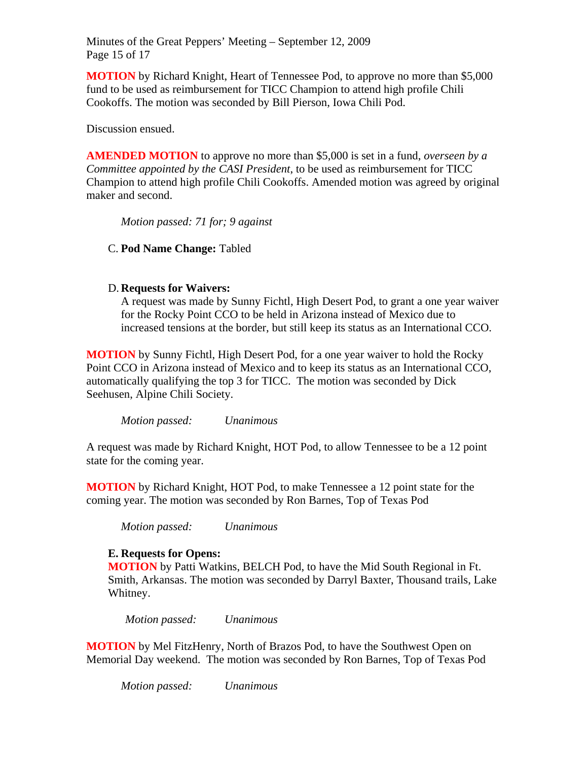Minutes of the Great Peppers' Meeting – September 12, 2009 Page 15 of 17

**MOTION** by Richard Knight, Heart of Tennessee Pod, to approve no more than \$5,000 fund to be used as reimbursement for TICC Champion to attend high profile Chili Cookoffs. The motion was seconded by Bill Pierson, Iowa Chili Pod.

Discussion ensued.

**AMENDED MOTION** to approve no more than \$5,000 is set in a fund, *overseen by a Committee appointed by the CASI President*, to be used as reimbursement for TICC Champion to attend high profile Chili Cookoffs. Amended motion was agreed by original maker and second.

*Motion passed: 71 for; 9 against* 

C. **Pod Name Change:** Tabled

### D. **Requests for Waivers:**

A request was made by Sunny Fichtl, High Desert Pod, to grant a one year waiver for the Rocky Point CCO to be held in Arizona instead of Mexico due to increased tensions at the border, but still keep its status as an International CCO.

**MOTION** by Sunny Fichtl, High Desert Pod, for a one year waiver to hold the Rocky Point CCO in Arizona instead of Mexico and to keep its status as an International CCO, automatically qualifying the top 3 for TICC. The motion was seconded by Dick Seehusen, Alpine Chili Society.

*Motion passed: Unanimous* 

A request was made by Richard Knight, HOT Pod, to allow Tennessee to be a 12 point state for the coming year.

**MOTION** by Richard Knight, HOT Pod, to make Tennessee a 12 point state for the coming year. The motion was seconded by Ron Barnes, Top of Texas Pod

*Motion passed: Unanimous* 

### **E. Requests for Opens:**

**MOTION** by Patti Watkins, BELCH Pod, to have the Mid South Regional in Ft. Smith, Arkansas. The motion was seconded by Darryl Baxter, Thousand trails, Lake Whitney.

*Motion passed: Unanimous* 

**MOTION** by Mel FitzHenry, North of Brazos Pod, to have the Southwest Open on Memorial Day weekend. The motion was seconded by Ron Barnes, Top of Texas Pod

*Motion passed: Unanimous*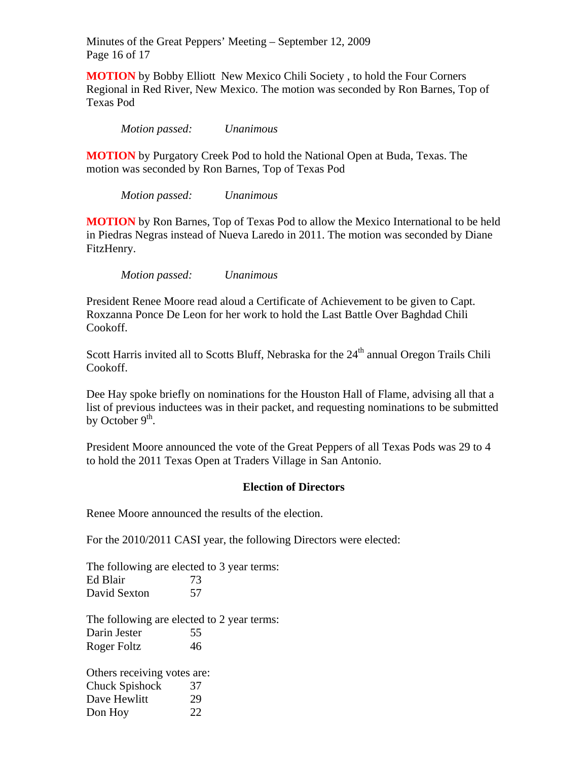Minutes of the Great Peppers' Meeting – September 12, 2009 Page 16 of 17

**MOTION** by Bobby Elliott New Mexico Chili Society , to hold the Four Corners Regional in Red River, New Mexico. The motion was seconded by Ron Barnes, Top of Texas Pod

*Motion passed: Unanimous* 

**MOTION** by Purgatory Creek Pod to hold the National Open at Buda, Texas. The motion was seconded by Ron Barnes, Top of Texas Pod

*Motion passed: Unanimous* 

**MOTION** by Ron Barnes, Top of Texas Pod to allow the Mexico International to be held in Piedras Negras instead of Nueva Laredo in 2011. The motion was seconded by Diane FitzHenry.

*Motion passed: Unanimous* 

President Renee Moore read aloud a Certificate of Achievement to be given to Capt. Roxzanna Ponce De Leon for her work to hold the Last Battle Over Baghdad Chili Cookoff.

Scott Harris invited all to Scotts Bluff, Nebraska for the 24<sup>th</sup> annual Oregon Trails Chili Cookoff.

Dee Hay spoke briefly on nominations for the Houston Hall of Flame, advising all that a list of previous inductees was in their packet, and requesting nominations to be submitted by October  $9<sup>th</sup>$ .

President Moore announced the vote of the Great Peppers of all Texas Pods was 29 to 4 to hold the 2011 Texas Open at Traders Village in San Antonio.

#### **Election of Directors**

Renee Moore announced the results of the election.

For the 2010/2011 CASI year, the following Directors were elected:

The following are elected to 3 year terms: Ed Blair 73 David Sexton 57

The following are elected to 2 year terms: Darin Jester 55 Roger Foltz 46

Others receiving votes are: Chuck Spishock 37 Dave Hewlitt 29 Don Hoy 22